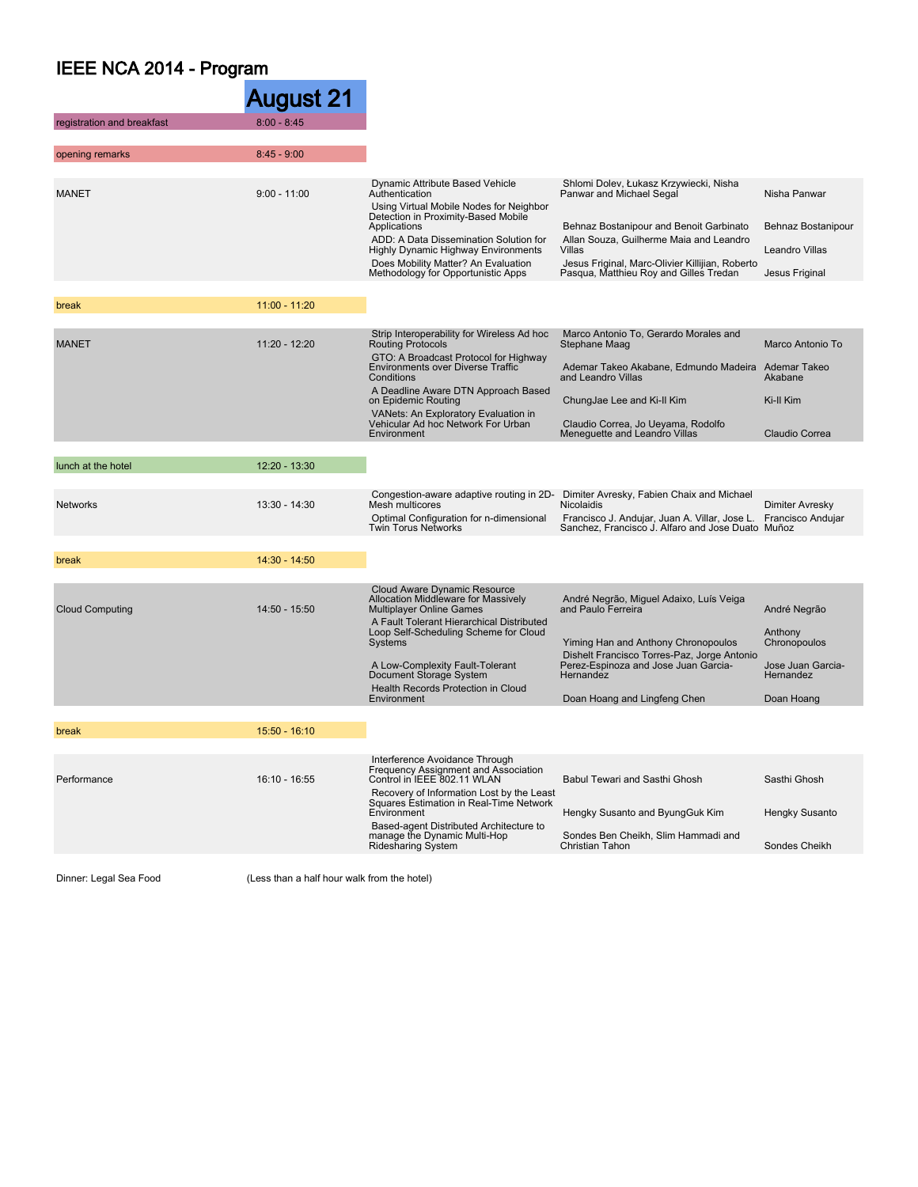## IEEE NCA 2014 - Program

|                            | August 21       |                                                                                                                                                                                                                                                                                                                               |                                                                                                                                                                                                                                                                 |  |
|----------------------------|-----------------|-------------------------------------------------------------------------------------------------------------------------------------------------------------------------------------------------------------------------------------------------------------------------------------------------------------------------------|-----------------------------------------------------------------------------------------------------------------------------------------------------------------------------------------------------------------------------------------------------------------|--|
| registration and breakfast | $8:00 - 8:45$   |                                                                                                                                                                                                                                                                                                                               |                                                                                                                                                                                                                                                                 |  |
|                            |                 |                                                                                                                                                                                                                                                                                                                               |                                                                                                                                                                                                                                                                 |  |
| opening remarks            | $8:45 - 9:00$   |                                                                                                                                                                                                                                                                                                                               |                                                                                                                                                                                                                                                                 |  |
| <b>MANET</b>               | $9:00 - 11:00$  | Dynamic Attribute Based Vehicle<br>Authentication<br>Using Virtual Mobile Nodes for Neighbor<br>Detection in Proximity-Based Mobile<br>Applications<br>ADD: A Data Dissemination Solution for<br><b>Highly Dynamic Highway Environments</b><br>Does Mobility Matter? An Evaluation<br>Methodology for Opportunistic Apps      | Shlomi Dolev, Łukasz Krzywiecki, Nisha<br>Panwar and Michael Segal<br>Behnaz Bostanipour and Benoit Garbinato<br>Allan Souza, Guilherme Maia and Leandro<br>Villas<br>Jesus Friginal, Marc-Olivier Killijian, Roberto<br>Pasqua, Matthieu Roy and Gilles Tredan |  |
|                            |                 |                                                                                                                                                                                                                                                                                                                               |                                                                                                                                                                                                                                                                 |  |
| break                      | $11:00 - 11:20$ |                                                                                                                                                                                                                                                                                                                               |                                                                                                                                                                                                                                                                 |  |
| <b>MANET</b>               | 11:20 - 12:20   | Strip Interoperability for Wireless Ad hoc<br><b>Routing Protocols</b><br>GTO: A Broadcast Protocol for Highway<br>Environments over Diverse Traffic<br>Conditions<br>A Deadline Aware DTN Approach Based<br>on Epidemic Routing<br>VANets: An Exploratory Evaluation in<br>Vehicular Ad hoc Network For Urban<br>Environment | Marco Antonio To, Gerardo Morales and<br>Stephane Maag<br>Ademar Takeo Akabane, Edmundo Madeira Ademar Takeo<br>and Leandro Villas<br>ChungJae Lee and Ki-II Kim<br>Claudio Correa, Jo Ueyama, Rodolfo<br>Meneguette and Leandro Villas                         |  |
|                            |                 |                                                                                                                                                                                                                                                                                                                               |                                                                                                                                                                                                                                                                 |  |
| lunch at the hotel         | $12:20 - 13:30$ |                                                                                                                                                                                                                                                                                                                               |                                                                                                                                                                                                                                                                 |  |
| <b>Networks</b>            | 13:30 - 14:30   | Mesh multicores<br>Optimal Configuration for n-dimensional<br><b>Twin Torus Networks</b>                                                                                                                                                                                                                                      | Congestion-aware adaptive routing in 2D- Dimiter Avresky, Fabien Chaix and Michael<br>Nicolaidis<br>Francisco J. Andujar, Juan A. Villar, Jose L. Francisco Andujar<br>Sanchez, Francisco J. Alfaro and Jose Duato Muñoz                                        |  |
| break                      | $14:30 - 14:50$ |                                                                                                                                                                                                                                                                                                                               |                                                                                                                                                                                                                                                                 |  |
|                            |                 |                                                                                                                                                                                                                                                                                                                               |                                                                                                                                                                                                                                                                 |  |
| <b>Cloud Computing</b>     | 14:50 - 15:50   | Cloud Aware Dynamic Resource<br>Allocation Middleware for Massively<br><b>Multiplayer Online Games</b><br>A Fault Tolerant Hierarchical Distributed<br>Loop Self-Scheduling Scheme for Cloud<br>Systems<br>A Low-Complexity Fault-Tolerant<br>Document Storage System<br>Health Records Protection in Cloud<br>Environment    | André Negrão, Miguel Adaixo, Luís Veiga<br>and Paulo Ferreira<br>Yiming Han and Anthony Chronopoulos<br>Dishelt Francisco Torres-Paz, Jorge Antonio<br>Perez-Espinoza and Jose Juan Garcia-<br>Hernandez<br>Doan Hoang and Lingfeng Chen                        |  |
| break                      | 15:50 - 16:10   |                                                                                                                                                                                                                                                                                                                               |                                                                                                                                                                                                                                                                 |  |
|                            |                 |                                                                                                                                                                                                                                                                                                                               |                                                                                                                                                                                                                                                                 |  |
| Performance                | 16:10 - 16:55   | Interference Avoidance Through<br>Frequency Assignment and Association<br>Control in IEEE 802.11 WLAN<br>Recovery of Information Lost by the Least<br>Squares Estimation in Real-Time Network<br>Environment<br>Based-agent Distributed Architecture to<br>manage the Dynamic Multi-Hop<br>Ridesharing System                 | Babul Tewari and Sasthi Ghosh<br>Hengky Susanto and ByungGuk Kim<br>Sondes Ben Cheikh, Slim Hammadi and<br>Christian Tahon                                                                                                                                      |  |
|                            |                 |                                                                                                                                                                                                                                                                                                                               |                                                                                                                                                                                                                                                                 |  |
|                            |                 |                                                                                                                                                                                                                                                                                                                               |                                                                                                                                                                                                                                                                 |  |

Dinner: Legal Sea Food (Less than a half hour walk from the hotel)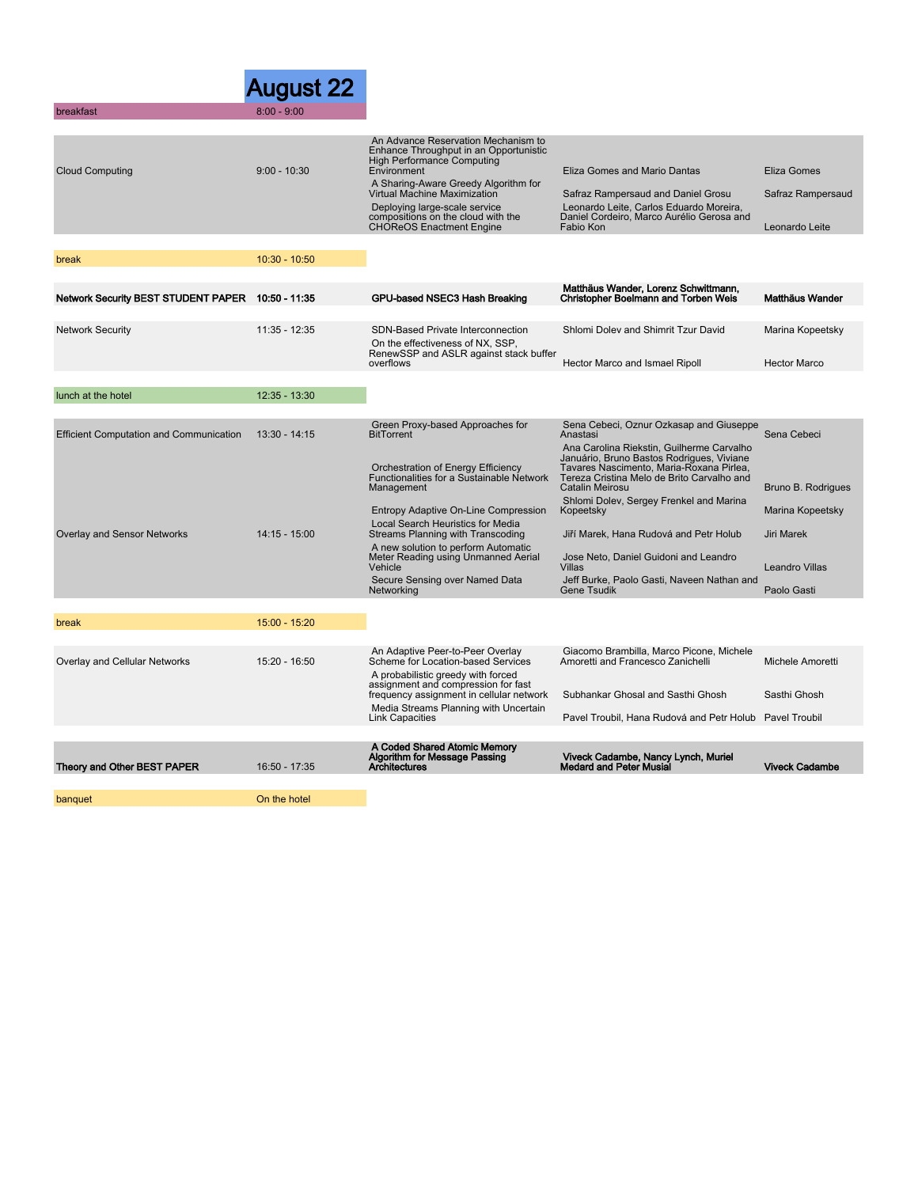|                                                | August 22       |                                                                                                                                                                                                                                                                                                              |                                                                                                                                                                                                                                                            |                                                                        |
|------------------------------------------------|-----------------|--------------------------------------------------------------------------------------------------------------------------------------------------------------------------------------------------------------------------------------------------------------------------------------------------------------|------------------------------------------------------------------------------------------------------------------------------------------------------------------------------------------------------------------------------------------------------------|------------------------------------------------------------------------|
| breakfast                                      | $8:00 - 9:00$   |                                                                                                                                                                                                                                                                                                              |                                                                                                                                                                                                                                                            |                                                                        |
| <b>Cloud Computing</b>                         | $9:00 - 10:30$  | An Advance Reservation Mechanism to<br>Enhance Throughput in an Opportunistic<br>High Performance Computing<br>Environment<br>A Sharing-Aware Greedy Algorithm for<br>Virtual Machine Maximization<br>Deploying large-scale service<br>compositions on the cloud with the<br><b>CHOReOS Enactment Engine</b> | Eliza Gomes and Mario Dantas<br>Safraz Rampersaud and Daniel Grosu<br>Leonardo Leite, Carlos Eduardo Moreira,<br>Daniel Cordeiro, Marco Aurélio Gerosa and<br>Fabio Kon                                                                                    | Eliza Gomes<br>Safraz Rampersaud<br>Leonardo Leite                     |
| break                                          | $10:30 - 10:50$ |                                                                                                                                                                                                                                                                                                              |                                                                                                                                                                                                                                                            |                                                                        |
|                                                |                 |                                                                                                                                                                                                                                                                                                              |                                                                                                                                                                                                                                                            |                                                                        |
| <b>Network Security BEST STUDENT PAPER</b>     | 10:50 - 11:35   | GPU-based NSEC3 Hash Breaking                                                                                                                                                                                                                                                                                | Matthäus Wander, Lorenz Schwittmann,<br>Christopher Boelmann and Torben Weis                                                                                                                                                                               | Matthäus Wander                                                        |
| <b>Network Security</b>                        | 11:35 - 12:35   | <b>SDN-Based Private Interconnection</b><br>On the effectiveness of NX, SSP.<br>RenewSSP and ASLR against stack buffer<br>overflows                                                                                                                                                                          | Shlomi Dolev and Shimrit Tzur David<br>Hector Marco and Ismael Ripoll                                                                                                                                                                                      | Marina Kopeetsky<br><b>Hector Marco</b>                                |
| lunch at the hotel                             | 12:35 - 13:30   |                                                                                                                                                                                                                                                                                                              |                                                                                                                                                                                                                                                            |                                                                        |
|                                                |                 |                                                                                                                                                                                                                                                                                                              |                                                                                                                                                                                                                                                            |                                                                        |
| <b>Efficient Computation and Communication</b> | 13:30 - 14:15   | Green Proxy-based Approaches for<br><b>BitTorrent</b><br>Orchestration of Energy Efficiency<br>Functionalities for a Sustainable Network<br>Management                                                                                                                                                       | Sena Cebeci, Oznur Ozkasap and Giuseppe<br>Anastasi<br>Ana Carolina Riekstin, Guilherme Carvalho<br>Januário, Bruno Bastos Rodrigues, Viviane<br>Tavares Nascimento, Maria-Roxana Pirlea,<br>Tereza Cristina Melo de Brito Carvalho and<br>Catalin Meirosu | Sena Cebeci<br>Bruno B. Rodrigues                                      |
| Overlay and Sensor Networks                    | $14:15 - 15:00$ | Entropy Adaptive On-Line Compression<br>Local Search Heuristics for Media<br>Streams Planning with Transcoding<br>A new solution to perform Automatic<br>Meter Reading using Unmanned Aerial<br>Vehicle<br>Secure Sensing over Named Data<br>Networking                                                      | Shlomi Dolev, Sergey Frenkel and Marina<br>Kopeetsky<br>Jiří Marek, Hana Rudová and Petr Holub<br>Jose Neto, Daniel Guidoni and Leandro<br><b>Villas</b><br>Jeff Burke, Paolo Gasti, Naveen Nathan and<br><b>Gene Tsudik</b>                               | Marina Kopeetsky<br>Jiri Marek<br><b>Leandro Villas</b><br>Paolo Gasti |
|                                                |                 |                                                                                                                                                                                                                                                                                                              |                                                                                                                                                                                                                                                            |                                                                        |
| break                                          | 15:00 - 15:20   |                                                                                                                                                                                                                                                                                                              |                                                                                                                                                                                                                                                            |                                                                        |
| Overlay and Cellular Networks                  | 15:20 - 16:50   | An Adaptive Peer-to-Peer Overlay<br>Scheme for Location-based Services<br>A probabilistic greedy with forced                                                                                                                                                                                                 | Giacomo Brambilla, Marco Picone, Michele<br>Amoretti and Francesco Zanichelli                                                                                                                                                                              | Michele Amoretti                                                       |
|                                                |                 | assignment and compression for fast<br>frequency assignment in cellular network<br>Media Streams Planning with Uncertain                                                                                                                                                                                     | Subhankar Ghosal and Sasthi Ghosh                                                                                                                                                                                                                          | Sasthi Ghosh                                                           |
|                                                |                 | <b>Link Capacities</b>                                                                                                                                                                                                                                                                                       | Pavel Troubil, Hana Rudová and Petr Holub Pavel Troubil                                                                                                                                                                                                    |                                                                        |
|                                                |                 | A Coded Shared Atomic Memory                                                                                                                                                                                                                                                                                 |                                                                                                                                                                                                                                                            |                                                                        |
| Theory and Other BEST PAPER                    | 16:50 - 17:35   | Algorithm for Message Passing<br><b>Architectures</b>                                                                                                                                                                                                                                                        | Viveck Cadambe, Nancy Lynch, Muriel<br><b>Medard and Peter Musial</b>                                                                                                                                                                                      | <b>Viveck Cadambe</b>                                                  |
| banquet                                        | On the hotel    |                                                                                                                                                                                                                                                                                                              |                                                                                                                                                                                                                                                            |                                                                        |